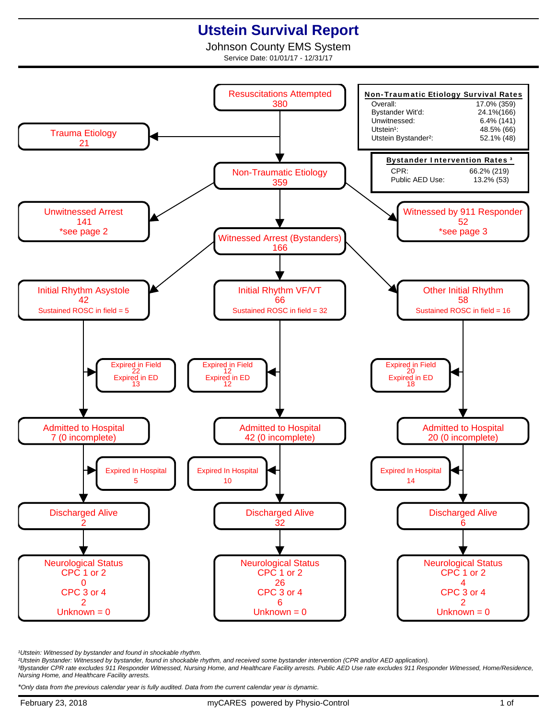## **Utstein Survival Report**

Johnson County EMS System Service Date: 01/01/17 - 12/31/17



<sup>1</sup>Utstein: Witnessed by bystander and found in shockable rhythm.

²Utstein Bystander: Witnessed by bystander, found in shockable rhythm, and received some bystander intervention (CPR and/or AED application).

³Bystander CPR rate excludes 911 Responder Witnessed, Nursing Home, and Healthcare Facility arrests. Public AED Use rate excludes 911 Responder Witnessed, Home/Residence, Nursing Home, and Healthcare Facility arrests.

\*Only data from the previous calendar year is fully audited. Data from the current calendar year is dynamic.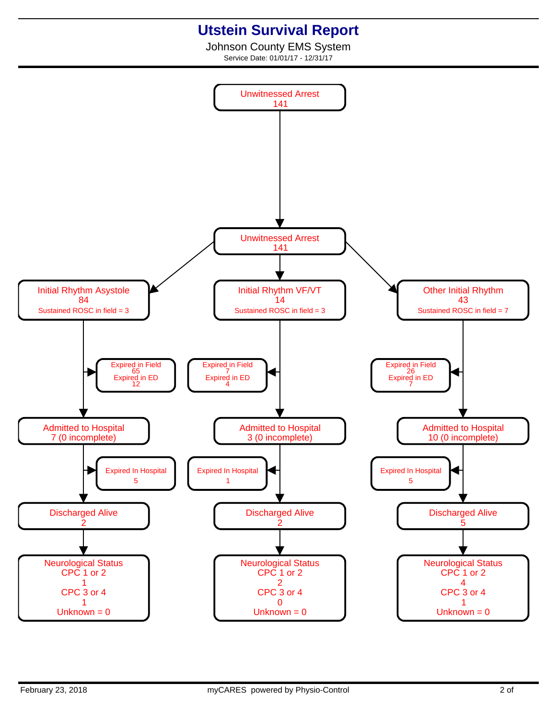## **Utstein Survival Report**

Johnson County EMS System Service Date: 01/01/17 - 12/31/17